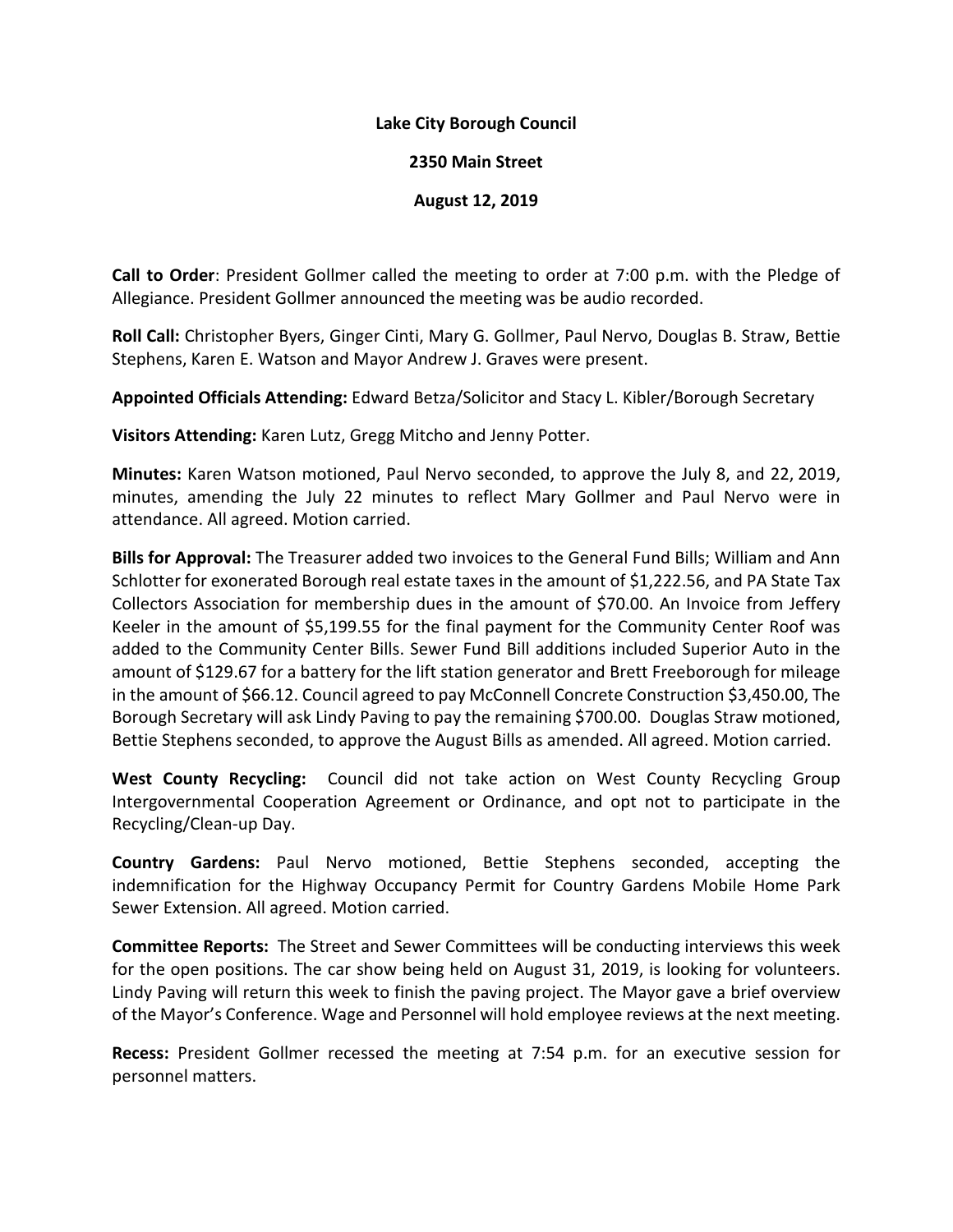## **Lake City Borough Council**

## **2350 Main Street**

## **August 12, 2019**

**Call to Order**: President Gollmer called the meeting to order at 7:00 p.m. with the Pledge of Allegiance. President Gollmer announced the meeting was be audio recorded.

**Roll Call:** Christopher Byers, Ginger Cinti, Mary G. Gollmer, Paul Nervo, Douglas B. Straw, Bettie Stephens, Karen E. Watson and Mayor Andrew J. Graves were present.

**Appointed Officials Attending:** Edward Betza/Solicitor and Stacy L. Kibler/Borough Secretary

**Visitors Attending:** Karen Lutz, Gregg Mitcho and Jenny Potter.

**Minutes:** Karen Watson motioned, Paul Nervo seconded, to approve the July 8, and 22, 2019, minutes, amending the July 22 minutes to reflect Mary Gollmer and Paul Nervo were in attendance. All agreed. Motion carried.

**Bills for Approval:** The Treasurer added two invoices to the General Fund Bills; William and Ann Schlotter for exonerated Borough real estate taxes in the amount of \$1,222.56, and PA State Tax Collectors Association for membership dues in the amount of \$70.00. An Invoice from Jeffery Keeler in the amount of \$5,199.55 for the final payment for the Community Center Roof was added to the Community Center Bills. Sewer Fund Bill additions included Superior Auto in the amount of \$129.67 for a battery for the lift station generator and Brett Freeborough for mileage in the amount of \$66.12. Council agreed to pay McConnell Concrete Construction \$3,450.00, The Borough Secretary will ask Lindy Paving to pay the remaining \$700.00. Douglas Straw motioned, Bettie Stephens seconded, to approve the August Bills as amended. All agreed. Motion carried.

**West County Recycling:** Council did not take action on West County Recycling Group Intergovernmental Cooperation Agreement or Ordinance, and opt not to participate in the Recycling/Clean-up Day.

**Country Gardens:** Paul Nervo motioned, Bettie Stephens seconded, accepting the indemnification for the Highway Occupancy Permit for Country Gardens Mobile Home Park Sewer Extension. All agreed. Motion carried.

**Committee Reports:** The Street and Sewer Committees will be conducting interviews this week for the open positions. The car show being held on August 31, 2019, is looking for volunteers. Lindy Paving will return this week to finish the paving project. The Mayor gave a brief overview of the Mayor's Conference. Wage and Personnel will hold employee reviews at the next meeting.

**Recess:** President Gollmer recessed the meeting at 7:54 p.m. for an executive session for personnel matters.